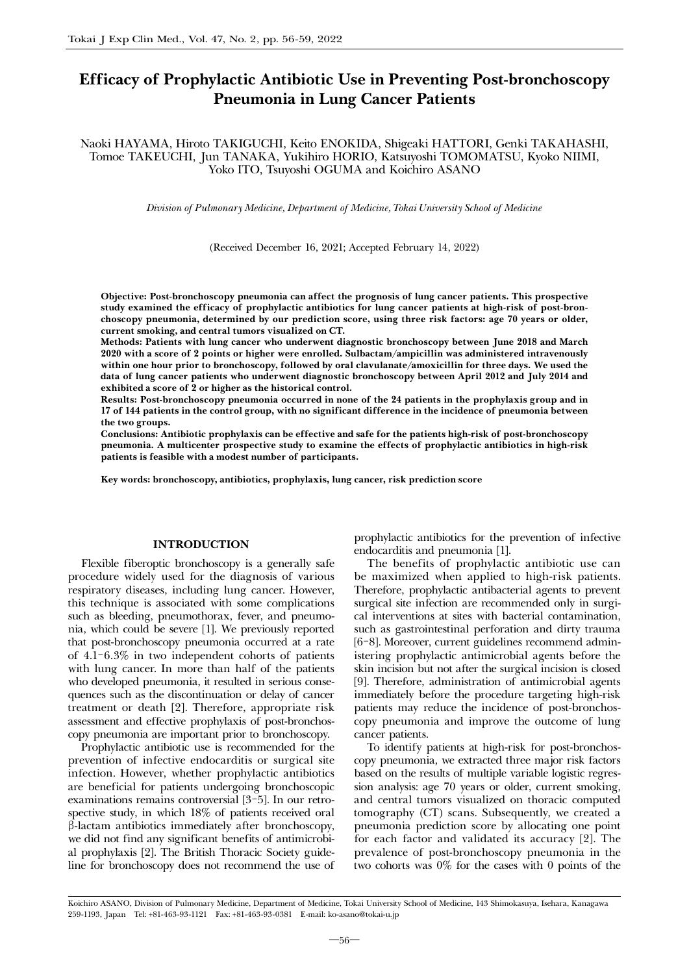# Efficacy of Prophylactic Antibiotic Use in Preventing Post-bronchoscopy Pneumonia in Lung Cancer Patients

Naoki HAYAMA, Hiroto TAKIGUCHI, Keito ENOKIDA, Shigeaki HATTORI, Genki TAKAHASHI, Tomoe TAKEUCHI, Jun TANAKA, Yukihiro HORIO, Katsuyoshi TOMOMATSU, Kyoko NIIMI, Yoko ITO, Tsuyoshi OGUMA and Koichiro ASANO

*Division of Pulmonary Medicine, Department of Medicine, Tokai University School of Medicine*

(Received December 16, 2021; Accepted February 14, 2022)

Objective: Post-bronchoscopy pneumonia can affect the prognosis of lung cancer patients. This prospective study examined the efficacy of prophylactic antibiotics for lung cancer patients at high-risk of post-bronchoscopy pneumonia, determined by our prediction score, using three risk factors: age 70 years or older, current smoking, and central tumors visualized on CT.

Methods: Patients with lung cancer who underwent diagnostic bronchoscopy between June 2018 and March 2020 with a score of 2 points or higher were enrolled. Sulbactam/ampicillin was administered intravenously within one hour prior to bronchoscopy, followed by oral clavulanate/amoxicillin for three days. We used the data of lung cancer patients who underwent diagnostic bronchoscopy between April 2012 and July 2014 and exhibited a score of 2 or higher as the historical control.

Results: Post-bronchoscopy pneumonia occurred in none of the 24 patients in the prophylaxis group and in 17 of 144 patients in the control group, with no significant difference in the incidence of pneumonia between the two groups.

Conclusions: Antibiotic prophylaxis can be effective and safe for the patients high-risk of post-bronchoscopy pneumonia. A multicenter prospective study to examine the effects of prophylactic antibiotics in high-risk patients is feasible with a modest number of participants.

Key words: bronchoscopy, antibiotics, prophylaxis, lung cancer, risk prediction score

#### INTRODUCTION

Flexible fiberoptic bronchoscopy is a generally safe procedure widely used for the diagnosis of various respiratory diseases, including lung cancer. However, this technique is associated with some complications such as bleeding, pneumothorax, fever, and pneumonia, which could be severe [1]. We previously reported that post-bronchoscopy pneumonia occurred at a rate of 4.1-6.3% in two independent cohorts of patients with lung cancer. In more than half of the patients who developed pneumonia, it resulted in serious consequences such as the discontinuation or delay of cancer treatment or death [2]. Therefore, appropriate risk assessment and effective prophylaxis of post-bronchoscopy pneumonia are important prior to bronchoscopy.

Prophylactic antibiotic use is recommended for the prevention of infective endocarditis or surgical site infection. However, whether prophylactic antibiotics are beneficial for patients undergoing bronchoscopic examinations remains controversial [3-5]. In our retrospective study, in which 18% of patients received oral b-lactam antibiotics immediately after bronchoscopy, we did not find any significant benefits of antimicrobial prophylaxis [2]. The British Thoracic Society guideline for bronchoscopy does not recommend the use of prophylactic antibiotics for the prevention of infective endocarditis and pneumonia [1].

The benefits of prophylactic antibiotic use can be maximized when applied to high-risk patients. Therefore, prophylactic antibacterial agents to prevent surgical site infection are recommended only in surgical interventions at sites with bacterial contamination, such as gastrointestinal perforation and dirty trauma [6-8]. Moreover, current guidelines recommend administering prophylactic antimicrobial agents before the skin incision but not after the surgical incision is closed [9]. Therefore, administration of antimicrobial agents immediately before the procedure targeting high-risk patients may reduce the incidence of post-bronchoscopy pneumonia and improve the outcome of lung cancer patients.

To identify patients at high-risk for post-bronchoscopy pneumonia, we extracted three major risk factors based on the results of multiple variable logistic regression analysis: age 70 years or older, current smoking, and central tumors visualized on thoracic computed tomography (CT) scans. Subsequently, we created a pneumonia prediction score by allocating one point for each factor and validated its accuracy [2]. The prevalence of post-bronchoscopy pneumonia in the two cohorts was 0% for the cases with 0 points of the

Koichiro ASANO, Division of Pulmonary Medicine, Department of Medicine, Tokai University School of Medicine, 143 Shimokasuya, Isehara, Kanagawa 259-1193, Japan Tel: +81-463-93-1121 Fax: +81-463-93-0381 E-mail: ko-asano@tokai-u.jp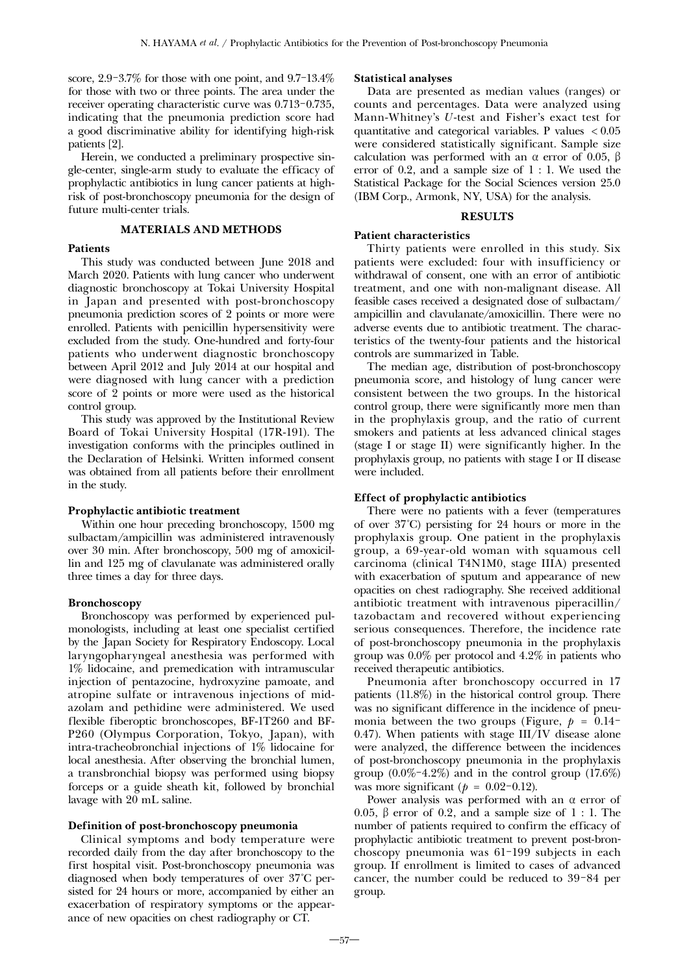score, 2.9-3.7% for those with one point, and 9.7-13.4% for those with two or three points. The area under the receiver operating characteristic curve was 0.713-0.735, indicating that the pneumonia prediction score had a good discriminative ability for identifying high-risk patients [2].

Herein, we conducted a preliminary prospective single-center, single-arm study to evaluate the efficacy of prophylactic antibiotics in lung cancer patients at highrisk of post-bronchoscopy pneumonia for the design of future multi-center trials.

#### MATERIALS AND METHODS

## **Patients**

This study was conducted between June 2018 and March 2020. Patients with lung cancer who underwent diagnostic bronchoscopy at Tokai University Hospital in Japan and presented with post-bronchoscopy pneumonia prediction scores of 2 points or more were enrolled. Patients with penicillin hypersensitivity were excluded from the study. One-hundred and forty-four patients who underwent diagnostic bronchoscopy between April 2012 and July 2014 at our hospital and were diagnosed with lung cancer with a prediction score of 2 points or more were used as the historical control group.

This study was approved by the Institutional Review Board of Tokai University Hospital (17R-191). The investigation conforms with the principles outlined in the Declaration of Helsinki. Written informed consent was obtained from all patients before their enrollment in the study.

# Prophylactic antibiotic treatment

Within one hour preceding bronchoscopy, 1500 mg sulbactam/ampicillin was administered intravenously over 30 min. After bronchoscopy, 500 mg of amoxicillin and 125 mg of clavulanate was administered orally three times a day for three days.

#### Bronchoscopy

Bronchoscopy was performed by experienced pulmonologists, including at least one specialist certified by the Japan Society for Respiratory Endoscopy. Local laryngopharyngeal anesthesia was performed with 1% lidocaine, and premedication with intramuscular injection of pentazocine, hydroxyzine pamoate, and atropine sulfate or intravenous injections of midazolam and pethidine were administered. We used flexible fiberoptic bronchoscopes, BF-1T260 and BF-P260 (Olympus Corporation, Tokyo, Japan), with intra-tracheobronchial injections of 1% lidocaine for local anesthesia. After observing the bronchial lumen, a transbronchial biopsy was performed using biopsy forceps or a guide sheath kit, followed by bronchial lavage with 20 mL saline.

# Definition of post-bronchoscopy pneumonia

Clinical symptoms and body temperature were recorded daily from the day after bronchoscopy to the first hospital visit. Post-bronchoscopy pneumonia was diagnosed when body temperatures of over 37˚C persisted for 24 hours or more, accompanied by either an exacerbation of respiratory symptoms or the appearance of new opacities on chest radiography or CT.

#### Statistical analyses

Data are presented as median values (ranges) or counts and percentages. Data were analyzed using Mann-Whitney's *U*-test and Fisher's exact test for quantitative and categorical variables. P values < 0.05 were considered statistically significant. Sample size calculation was performed with an  $\alpha$  error of 0.05,  $\beta$ error of 0.2, and a sample size of 1 : 1. We used the Statistical Package for the Social Sciences version 25.0 (IBM Corp., Armonk, NY, USA) for the analysis.

## RESULTS

# Patient characteristics

Thirty patients were enrolled in this study. Six patients were excluded: four with insufficiency or withdrawal of consent, one with an error of antibiotic treatment, and one with non-malignant disease. All feasible cases received a designated dose of sulbactam/ ampicillin and clavulanate/amoxicillin. There were no adverse events due to antibiotic treatment. The characteristics of the twenty-four patients and the historical controls are summarized in Table.

The median age, distribution of post-bronchoscopy pneumonia score, and histology of lung cancer were consistent between the two groups. In the historical control group, there were significantly more men than in the prophylaxis group, and the ratio of current smokers and patients at less advanced clinical stages (stage I or stage II) were significantly higher. In the prophylaxis group, no patients with stage I or II disease were included.

# Effect of prophylactic antibiotics

There were no patients with a fever (temperatures of over 37˚C) persisting for 24 hours or more in the prophylaxis group. One patient in the prophylaxis group, a 69-year-old woman with squamous cell carcinoma (clinical T4N1M0, stage IIIA) presented with exacerbation of sputum and appearance of new opacities on chest radiography. She received additional antibiotic treatment with intravenous piperacillin/ tazobactam and recovered without experiencing serious consequences. Therefore, the incidence rate of post-bronchoscopy pneumonia in the prophylaxis group was 0.0% per protocol and 4.2% in patients who received therapeutic antibiotics.

Pneumonia after bronchoscopy occurred in 17 patients (11.8%) in the historical control group. There was no significant difference in the incidence of pneumonia between the two groups (Figure,  $p = 0.14$ 0.47). When patients with stage III/IV disease alone were analyzed, the difference between the incidences of post-bronchoscopy pneumonia in the prophylaxis group  $(0.0\% - 4.2\%)$  and in the control group  $(17.6\%)$ was more significant ( $p = 0.02 - 0.12$ ).

Power analysis was performed with an  $\alpha$  error of 0.05,  $\beta$  error of 0.2, and a sample size of 1 : 1. The number of patients required to confirm the efficacy of prophylactic antibiotic treatment to prevent post-bronchoscopy pneumonia was 61-199 subjects in each group. If enrollment is limited to cases of advanced cancer, the number could be reduced to 39-84 per group.

―57―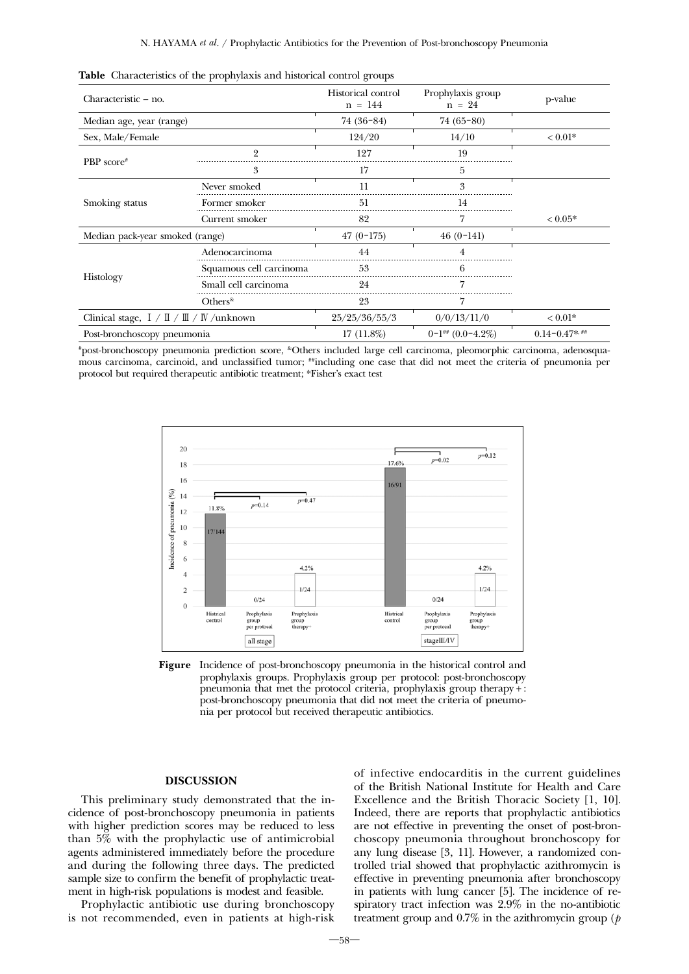|                                              | $\blacksquare$          | $\circ$                         |                                   |                                                   |
|----------------------------------------------|-------------------------|---------------------------------|-----------------------------------|---------------------------------------------------|
| Characteristic – no.                         |                         | Historical control<br>$n = 144$ | Prophylaxis group<br>$n = 24$     | p-value                                           |
| Median age, year (range)                     |                         | $74(36-84)$                     | $74(65-80)$                       |                                                   |
| Sex, Male/Female                             |                         | 124/20                          | 14/10                             | $< 0.01*$                                         |
|                                              | 9                       | 127                             | 19                                |                                                   |
| PBP score#                                   | 3                       | 17                              | 5                                 |                                                   |
| Smoking status                               | Never smoked            | 11                              | 3                                 |                                                   |
|                                              | Former smoker           | 51                              | 14                                |                                                   |
|                                              | Current smoker          | 82                              |                                   | $< 0.05*$                                         |
| Median pack-year smoked (range)              |                         | $47(0-175)$                     | $46(0-141)$                       |                                                   |
|                                              | Adenocarcinoma          | 44                              |                                   |                                                   |
|                                              | Squamous cell carcinoma | 53                              | 6                                 |                                                   |
| Histology                                    | Small cell carcinoma    | 24                              |                                   | 7<br>0/0/13/11/0<br>$< 0.01*$<br>$0.14 - 0.47$ ** |
|                                              | $Others^{\&}$           | 23                              |                                   |                                                   |
| Clinical stage, $I / II / III / W /$ unknown |                         | 25/25/36/55/3                   |                                   |                                                   |
| Post-bronchoscopy pneumonia                  |                         | $17(11.8\%)$                    | $0-1$ <sup>##</sup> $(0.0-4.2\%)$ |                                                   |

|  |  |  |  |  |  | Table Characteristics of the prophylaxis and historical control groups |  |
|--|--|--|--|--|--|------------------------------------------------------------------------|--|
|--|--|--|--|--|--|------------------------------------------------------------------------|--|

# post-bronchoscopy pneumonia prediction score, &Others included large cell carcinoma, pleomorphic carcinoma, adenosquamous carcinoma, carcinoid, and unclassified tumor; ##including one case that did not meet the criteria of pneumonia per protocol but required therapeutic antibiotic treatment; \*Fisher's exact test



Figure Incidence of post-bronchoscopy pneumonia in the historical control and prophylaxis groups. Prophylaxis group per protocol: post-bronchoscopy pneumonia that met the protocol criteria, prophylaxis group therapy + : post-bronchoscopy pneumonia that did not meet the criteria of pneumonia per protocol but received therapeutic antibiotics.

# DISCUSSION

This preliminary study demonstrated that the incidence of post-bronchoscopy pneumonia in patients with higher prediction scores may be reduced to less than 5% with the prophylactic use of antimicrobial agents administered immediately before the procedure and during the following three days. The predicted sample size to confirm the benefit of prophylactic treatment in high-risk populations is modest and feasible.

Prophylactic antibiotic use during bronchoscopy is not recommended, even in patients at high-risk

of infective endocarditis in the current guidelines of the British National Institute for Health and Care Excellence and the British Thoracic Society [1, 10]. Indeed, there are reports that prophylactic antibiotics are not effective in preventing the onset of post-bronchoscopy pneumonia throughout bronchoscopy for any lung disease [3, 11]. However, a randomized controlled trial showed that prophylactic azithromycin is effective in preventing pneumonia after bronchoscopy in patients with lung cancer [5]. The incidence of respiratory tract infection was 2.9% in the no-antibiotic treatment group and 0.7% in the azithromycin group (*p*